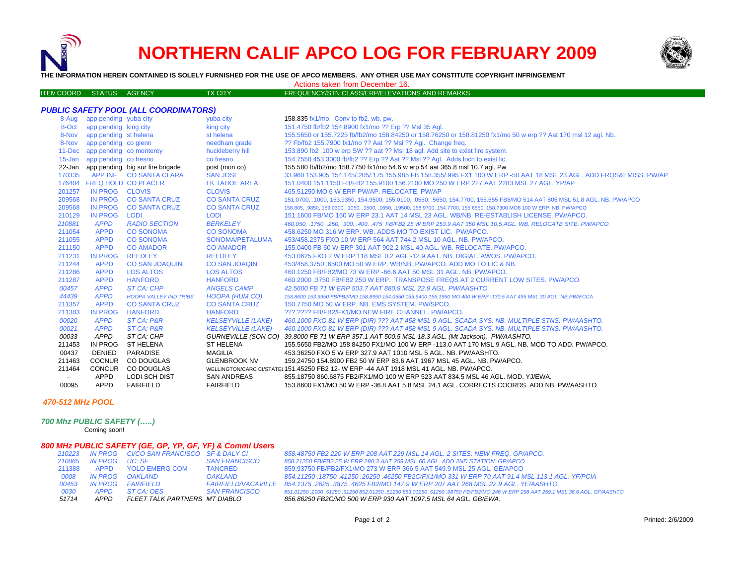# **NORTHERN CALIF APCO LOG FOR FEBRUARY 2009**



**THE INFORMATION HEREIN CONTAINED IS SOLELY FURNISHED FOR THE USE OF APCO MEMBERS. ANY OTHER USE MAY CONSTITUTE COPYRIGHT INFRINGEMENT**

Actions taken from December 16.

| ITEM COORD STATUS AGENCY |  | <b>TX CITY</b> | FREQUENCY/STN CLASS/ERP/ELEVATIONS AND REMARKS |
|--------------------------|--|----------------|------------------------------------------------|
|                          |  |                |                                                |

|        |                                | PUBLIC SAFETY POOL (ALL COORDINATORS)   |                           |                                                                                                                             |
|--------|--------------------------------|-----------------------------------------|---------------------------|-----------------------------------------------------------------------------------------------------------------------------|
|        | 8-Aug app pending yuba city    |                                         | yuba city                 | 158.835 fx1/mo. Conv to fb2. wb. pw.                                                                                        |
| 8-Oct  | app pending king city          |                                         | king city                 | 151.4750 fb/fb2 154.8900 fx1/mo ?? Erp ?? Msl 35 Agl.                                                                       |
| 8-Nov  | app pending st helena          |                                         | st helena                 | 155.5650 or 155.7225 fb/fb2/mo 158.84250 or 158.76250 or 158.81250 fx1/mo 50 w erp ?? Aat 170 msl 12 agl. Nb.               |
|        | 8-Nov app pending co glenn     |                                         | needham grade             | ?? Fb/fb2 155.7900 fx1/mo ?? Aat ?? Msl ?? Agl. Change freq.                                                                |
|        | 11-Dec app pending co monterey |                                         | huckleberry hill          | 153.890 fb2 100 w erp SW ?? aat ?? MsI 18 agl. Add site to exist fire system.                                               |
|        | 15-Jan app pending co fresno   |                                         | co fresno                 | 154.7550 453.3000 fb/fb2 ?? Erp ?? Aat ?? Msl ?? Agl. Adds locn to exist lic.                                               |
|        |                                | 22-Jan app pending big sur fire brigade | post (mon co)             | 155.580 fb/fb2/mo 158.7750 fx1/mo 54.6 w erp 54 aat 365.8 msl 10.7 agl. Pw                                                  |
|        |                                | 170335 APP INF CO SANTA CLARA           | <b>SAN JOSE</b>           | 33 960 153 905 154 145/ 205/ 175 155 985 FB 158 355/ 995 FX1 100 W FRP-50 AAT 18 MSL 23 AGL ADD FROS&FMISS PW/AP            |
|        | 176404 FREQ HOLD CO PLACER     |                                         | <b>LK TAHOE AREA</b>      | 151.0400 151.1150 FB/FB2 155.9100 156.2100 MO 250 W ERP 227 AAT 2283 MSL 27 AGL. YP/AP                                      |
| 201257 | IN PROG CLOVIS                 |                                         | <b>CLOVIS</b>             | 465.51250 MO 6 W ERP PW/AP, RELOCATE, PW/AP                                                                                 |
| 209568 | IN PROG                        | <b>CO SANTA CRUZ</b>                    | <b>CO SANTA CRUZ</b>      | 151.0700, .1000, 153.9350, 154.9500, 155.0100, .0550, .5650, 154.7700, 155.655 FB8/MO 514 AAT 805 MSL 51.8 AGL. NB. PW/APCO |
| 209568 | <b>IN PROG</b>                 | <b>CO SANTA CRUZ</b>                    | <b>CO SANTA CRUZ</b>      | 158.805, 9850, 159.0300, 1050, 1500, 1650, 19500, 158.9700, 154.7700, 155.6550, 158.7300 MO8 100 W ERP. NB. PW/APCO         |
| 210129 | <b>IN PROG</b>                 | <b>LODI</b>                             | <b>LODI</b>               | 151.1600 FB/MO 160 W ERP 23.1 AAT 14 MSL 23 AGL. WB/NB. RE-ESTABLISH LICENSE. PW/APCO.                                      |
| 210881 | <b>APPD</b>                    | <b>RADIO SECTION</b>                    | <b>BERKELEY</b>           | 460.050, .1750, .250, .300, .400, .475 FB/FB2 25 W ERP 253.9 AAT 350 MSL 10.5 AGL. WB. RELOCATE SITE. PW/APCO               |
| 211054 | <b>APPD</b>                    | <b>CO SONOMA</b>                        | <b>CO SONOMA</b>          | 458.6250 MO 316 W ERP. WB. ADDS MO TO EXIST LIC. PW/APCO.                                                                   |
| 211055 | <b>APPD</b>                    | <b>CO SONOMA</b>                        | SONOMA/PETALUMA           | 453/458.2375 FXO 10 W ERP 564 AAT 744.2 MSL 10 AGL, NB, PW/APCO,                                                            |
| 211150 | <b>APPD</b>                    | <b>CO AMADOR</b>                        | <b>CO AMADOR</b>          | 155,0400 FB 50 W ERP 301 AAT 902.2 MSL 40 AGL, WB, RELOCATE, PW/APCO,                                                       |
| 211231 | <b>IN PROG</b>                 | <b>REEDLEY</b>                          | <b>REEDLEY</b>            | 453.0625 FXO 2 W ERP 118 MSL 0.2 AGL -12.9 AAT. NB. DIGIAL, AWOS, PW/APCO.                                                  |
| 211244 | <b>APPD</b>                    | <b>CO SAN JOAQUIN</b>                   | <b>CO SAN JOAQIN</b>      | 453/458.3750 .6500 MO 50 W ERP. WB/NB. PW/APCO. ADD MO TO LIC & NB.                                                         |
| 211286 | <b>APPD</b>                    | <b>LOS ALTOS</b>                        | <b>LOS ALTOS</b>          | 460.1250 FB/FB2/MO 73 W ERP -66.6 AAT 50 MSL 31 AGL, NB, PW/APCO.                                                           |
| 211287 | <b>APPD</b>                    | <b>HANFORD</b>                          | <b>HANFORD</b>            | 460.2000 .3750 FB/FB2 250 W ERP. TRANSPOSE FREQS AT 2 CURRENT LOW SITES. PW/APCO.                                           |
| 00457  | <b>APPD</b>                    | ST CA: CHP                              | <b>ANGELS CAMP</b>        | 42.5600 FB 71 W ERP 503.7 AAT 880.9 MSL 22.9 AGL, PW/AASHTO                                                                 |
| 44439  | <b>APPD</b>                    | <b>HOOPA VALLEY IND TRIBE</b>           | HOOPA (HUM CO)            | 153,8600 153,9950 FB/FB2/MO 158,8950 154,0550 155,9400 156,1950 MO 400 W ERP -130,5 AAT 495 MSL 30 AGL. NB.PW/FCCA          |
| 211357 | <b>APPD</b>                    | <b>CO SANTA CRUZ</b>                    | <b>CO SANTA CRUZ</b>      | 150.7750 MO 50 W ERP. NB. EMS SYSTEM. PW/SPCO.                                                                              |
| 211383 | <b>IN PROG</b>                 | <b>HANFORD</b>                          | <b>HANFORD</b>            | ???.???? FB/FB2/FX1/MO NEW FIRE CHANNEL. PW/APCO.                                                                           |
| 00020  | <b>APPD</b>                    | ST CA: P&R                              | <b>KELSEYVILLE (LAKE)</b> | 460.1000 FXO 81 W ERP (DIR) ??? AAT 458 MSL 9 AGL. SCADA SYS. NB. MULTIPLE STNS. PW/AASHTO.                                 |
| 00021  | <b>APPD</b>                    | ST CA: P&R                              | <b>KELSEYVILLE (LAKE)</b> | 460.1000 FXO 81 W ERP (DIR) ??? AAT 458 MSL 9 AGL. SCADA SYS. NB. MULTIPLE STNS. PW/AASHTO.                                 |
| 00033  | APPD                           | ST CA: CHP                              |                           | GURNEVILLE (SON CO) 39.8000 FB 71 W ERP 357.1 AAT 500.5 MSL 18.3 AGL. (Mt Jackson). PW/AASHTO.                              |
| 211453 | IN PROG                        | <b>ST HELENA</b>                        | <b>ST HELENA</b>          | 155,5650 FB2/MO 158,84250 FX1/MO 100 W ERP -113.0 AAT 170 MSL 9 AGL. NB. MOD TO ADD, PW/APCO,                               |
| 00437  | <b>DENIED</b>                  | PARADISE                                | <b>MAGILIA</b>            | 453.36250 FXO 5 W ERP 327.9 AAT 1010 MSL 5 AGL. NB. PW/AASHTO.                                                              |
| 211463 | <b>COCNUR</b>                  | CO DOUGLAS                              | <b>GLENBROOK NV</b>       | 159.24750 154.8900 FB2 50 W ERP 83.6 AAT 1967 MSL 45 AGL, NB, PW/APCO,                                                      |
| 211464 | <b>CONCUR</b>                  | CO DOUGLAS                              |                           | WELLINGTON/CARC CI/STATEI 151.45250 FB2 12- W ERP -44 AAT 1918 MSL 41 AGL. NB. PW/APCO.                                     |
| $\sim$ | APPD                           | <b>LODI SCH DIST</b>                    | <b>SAN ANDREAS</b>        | 855.18750 860.6875 FB2/FX1/MO 100 W ERP 523 AAT 834.5 MSL 46 AGL, MOD, YJ/EWA,                                              |
| 00095  | <b>APPD</b>                    | <b>FAIRFIELD</b>                        | <b>FAIRFIELD</b>          | 153.8600 FX1/MO 50 W ERP -36.8 AAT 5.8 MSL 24.1 AGL. CORRECTS COORDS. ADD NB. PW/AASHTO                                     |

#### *470-512 MHz POOL*

*700 Mhz PUBLIC SAFETY (…..)*

Coming soon!

### *800 MHz PUBLIC SAFETY (GE, GP, YP, GF, YF) & Comml Users*

| 51714  | APPD                  | FLEET TALK PARTNERS MT DIABLO                   |                      | 856.86250 FB2C/MO 500 W ERP 930 AAT 1097.5 MSL 64 AGL. GB/EWA.                                                             |
|--------|-----------------------|-------------------------------------------------|----------------------|----------------------------------------------------------------------------------------------------------------------------|
| 0030   | APPD                  | $STCA \cdot OFS$                                | <b>SAN FRANCISCO</b> | 851.01250.2000.51250.91250.852.01250.51250.853.01250.51250.98750.FB/FB2/MO.246 W ERP 298 AAT 259.1 MSL 36.6 AGL. GF/AASHTO |
| 00453  |                       | IN PROGE FAIRFIFI D                             |                      | FAIRFIELD/VACAVILLE 854.1375.2625.3875.4625 FB2/MO 147.9 W ERP 207 AAT 268 MSL 22.9 AGL. YE/AASHTO.                        |
| 0008   |                       | IN PROG OAKLAND                                 | OAKLAND              | 854.11250 .18750 .41250 .26250 .46250 FB2C/FX1/MO 331 W ERP 70 AAT 91.4 MSL 113.1 AGL, YF/PCIA                             |
| 211388 |                       | APPD YOLO EMERG COM                             | TANCRED              | 859.93750 FB/FB2/FX1/MO 273 W ERP 366.5 AAT 549.9 MSL 25 AGL, GE/APCO                                                      |
|        | 210865 IN PROG UC: SF |                                                 | <b>SAN FRANCISCO</b> | 858.21250 FB/FB2 25 W ERP 290.3 AAT 259 MSL 60 AGL, ADD 2ND STATION, GP/APCO,                                              |
|        |                       | 210223 IN PROG CI/CO SAN FRANCISCO SF & DALY CI |                      | 858.48750 FB2 220 W ERP 208 AAT 229 MSL 14 AGL, 2 SITES, NEW FREQ, GP/APCO,                                                |
|        |                       |                                                 |                      |                                                                                                                            |